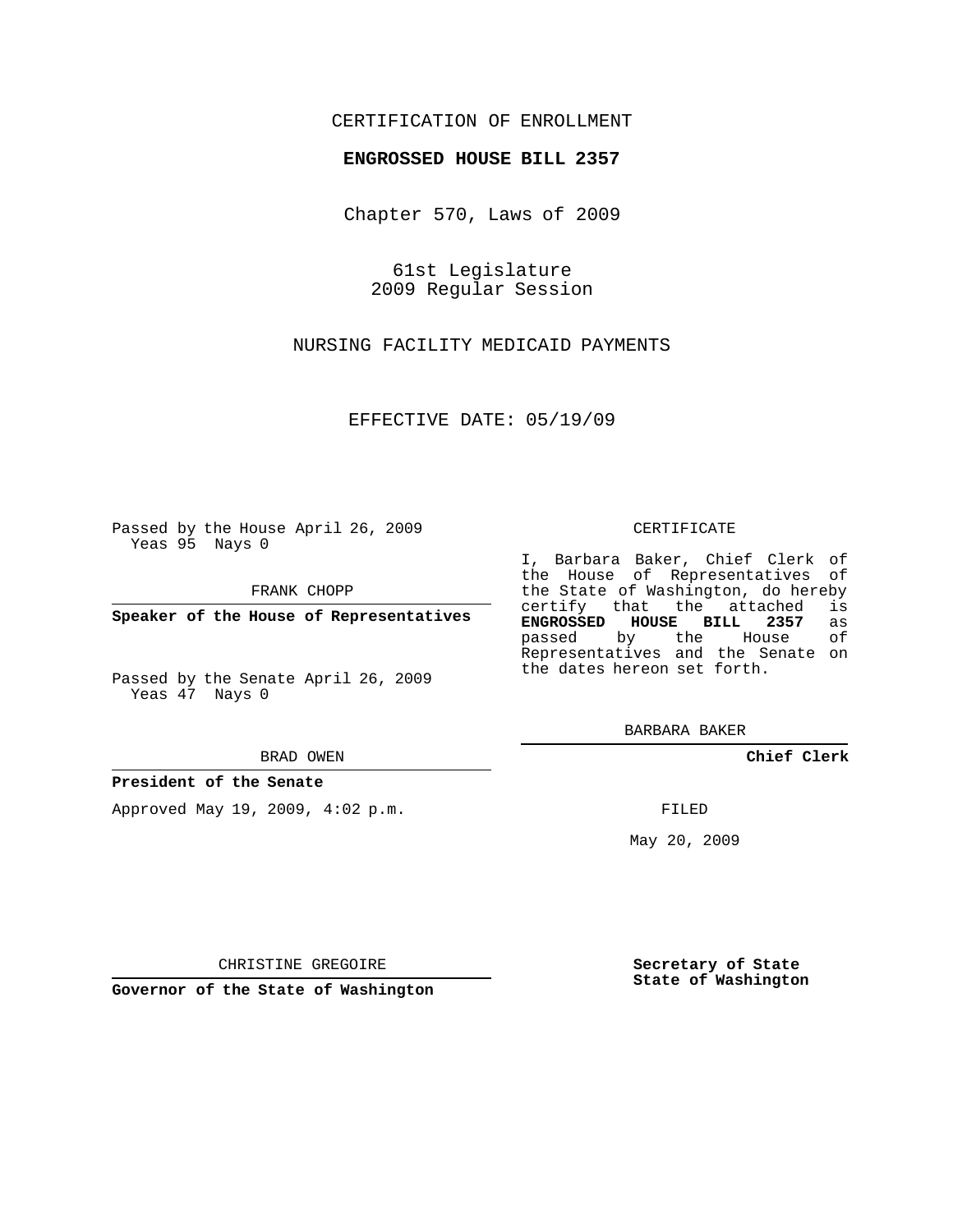# CERTIFICATION OF ENROLLMENT

## **ENGROSSED HOUSE BILL 2357**

Chapter 570, Laws of 2009

61st Legislature 2009 Regular Session

NURSING FACILITY MEDICAID PAYMENTS

EFFECTIVE DATE: 05/19/09

Passed by the House April 26, 2009 Yeas 95 Nays 0

FRANK CHOPP

**Speaker of the House of Representatives**

Passed by the Senate April 26, 2009 Yeas 47 Nays 0

#### BRAD OWEN

### **President of the Senate**

Approved May 19, 2009, 4:02 p.m.

#### CERTIFICATE

I, Barbara Baker, Chief Clerk of the House of Representatives of the State of Washington, do hereby<br>certify that the attached is certify that the attached is<br>**ENGROSSED HOUSE BILL 2357** as **ENGROSSED HOUSE BILL 2357** as passed by the House Representatives and the Senate on the dates hereon set forth.

BARBARA BAKER

**Chief Clerk**

FILED

May 20, 2009

**Secretary of State State of Washington**

CHRISTINE GREGOIRE

**Governor of the State of Washington**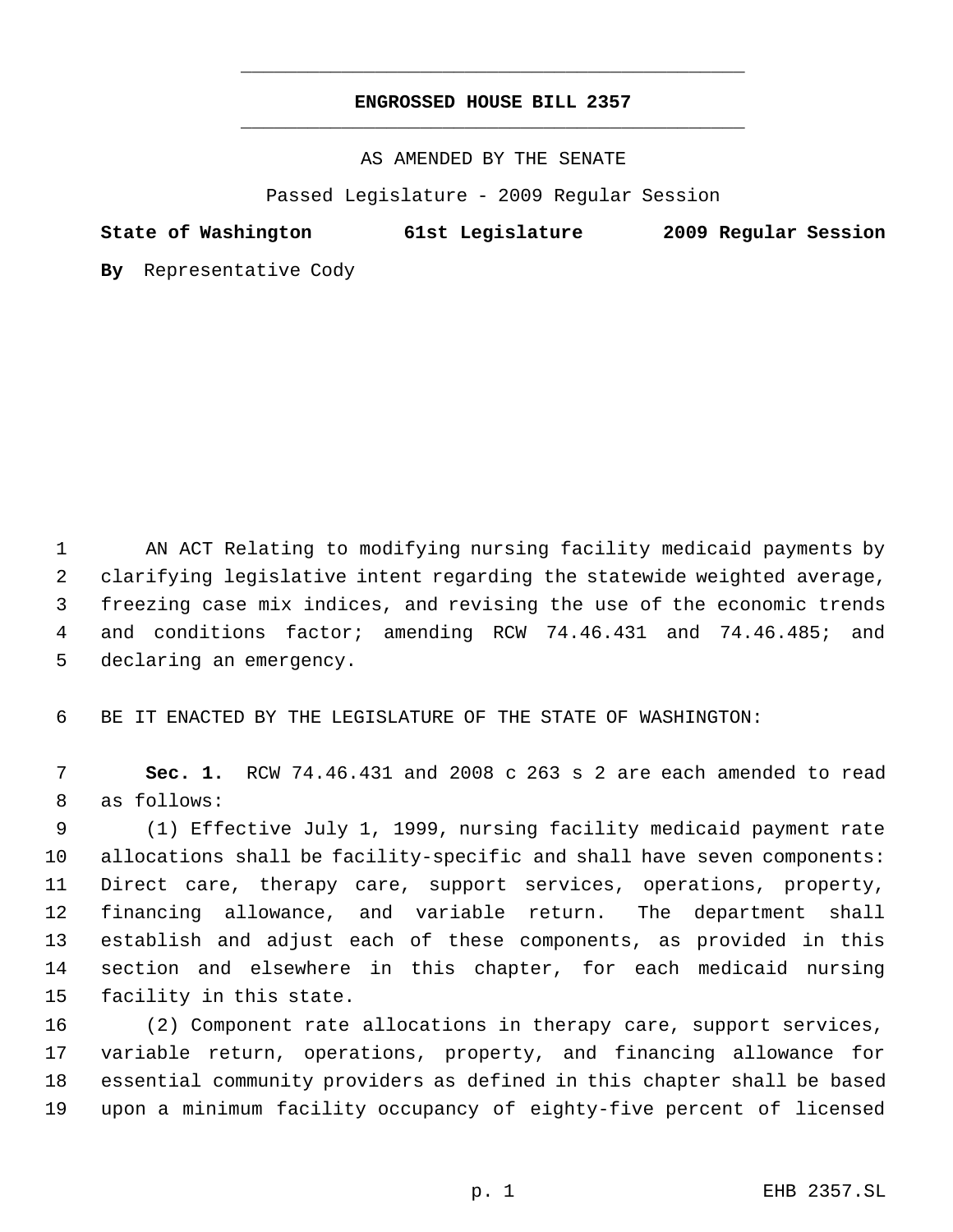# **ENGROSSED HOUSE BILL 2357** \_\_\_\_\_\_\_\_\_\_\_\_\_\_\_\_\_\_\_\_\_\_\_\_\_\_\_\_\_\_\_\_\_\_\_\_\_\_\_\_\_\_\_\_\_

\_\_\_\_\_\_\_\_\_\_\_\_\_\_\_\_\_\_\_\_\_\_\_\_\_\_\_\_\_\_\_\_\_\_\_\_\_\_\_\_\_\_\_\_\_

AS AMENDED BY THE SENATE

Passed Legislature - 2009 Regular Session

**State of Washington 61st Legislature 2009 Regular Session**

**By** Representative Cody

 AN ACT Relating to modifying nursing facility medicaid payments by clarifying legislative intent regarding the statewide weighted average, freezing case mix indices, and revising the use of the economic trends and conditions factor; amending RCW 74.46.431 and 74.46.485; and declaring an emergency.

BE IT ENACTED BY THE LEGISLATURE OF THE STATE OF WASHINGTON:

 **Sec. 1.** RCW 74.46.431 and 2008 c 263 s 2 are each amended to read as follows:

 (1) Effective July 1, 1999, nursing facility medicaid payment rate allocations shall be facility-specific and shall have seven components: Direct care, therapy care, support services, operations, property, financing allowance, and variable return. The department shall establish and adjust each of these components, as provided in this section and elsewhere in this chapter, for each medicaid nursing facility in this state.

 (2) Component rate allocations in therapy care, support services, variable return, operations, property, and financing allowance for essential community providers as defined in this chapter shall be based upon a minimum facility occupancy of eighty-five percent of licensed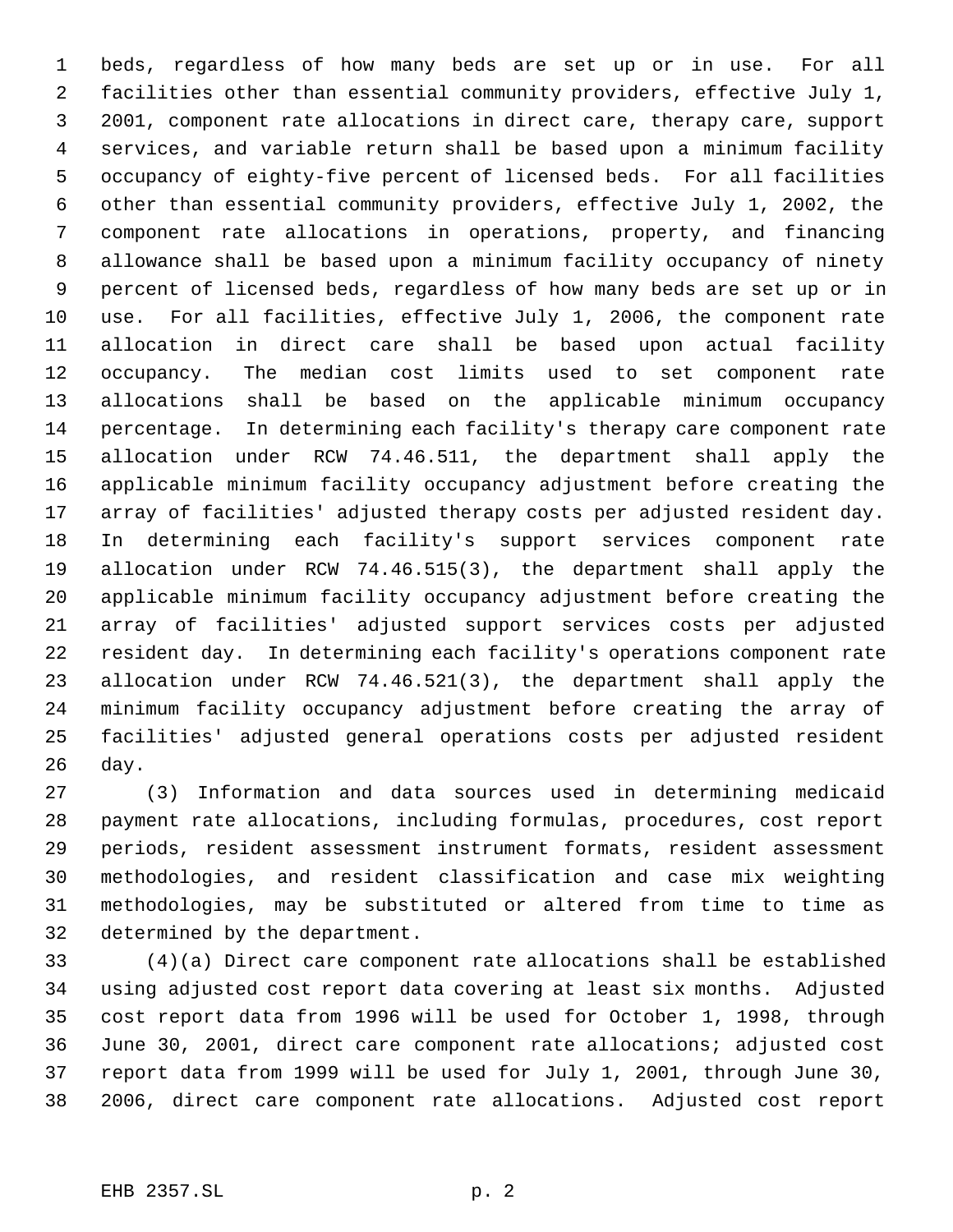beds, regardless of how many beds are set up or in use. For all facilities other than essential community providers, effective July 1, 2001, component rate allocations in direct care, therapy care, support services, and variable return shall be based upon a minimum facility occupancy of eighty-five percent of licensed beds. For all facilities other than essential community providers, effective July 1, 2002, the component rate allocations in operations, property, and financing allowance shall be based upon a minimum facility occupancy of ninety percent of licensed beds, regardless of how many beds are set up or in use. For all facilities, effective July 1, 2006, the component rate allocation in direct care shall be based upon actual facility occupancy. The median cost limits used to set component rate allocations shall be based on the applicable minimum occupancy percentage. In determining each facility's therapy care component rate allocation under RCW 74.46.511, the department shall apply the applicable minimum facility occupancy adjustment before creating the array of facilities' adjusted therapy costs per adjusted resident day. In determining each facility's support services component rate allocation under RCW 74.46.515(3), the department shall apply the applicable minimum facility occupancy adjustment before creating the array of facilities' adjusted support services costs per adjusted resident day. In determining each facility's operations component rate allocation under RCW 74.46.521(3), the department shall apply the minimum facility occupancy adjustment before creating the array of facilities' adjusted general operations costs per adjusted resident day.

 (3) Information and data sources used in determining medicaid payment rate allocations, including formulas, procedures, cost report periods, resident assessment instrument formats, resident assessment methodologies, and resident classification and case mix weighting methodologies, may be substituted or altered from time to time as determined by the department.

 (4)(a) Direct care component rate allocations shall be established using adjusted cost report data covering at least six months. Adjusted cost report data from 1996 will be used for October 1, 1998, through June 30, 2001, direct care component rate allocations; adjusted cost report data from 1999 will be used for July 1, 2001, through June 30, 2006, direct care component rate allocations. Adjusted cost report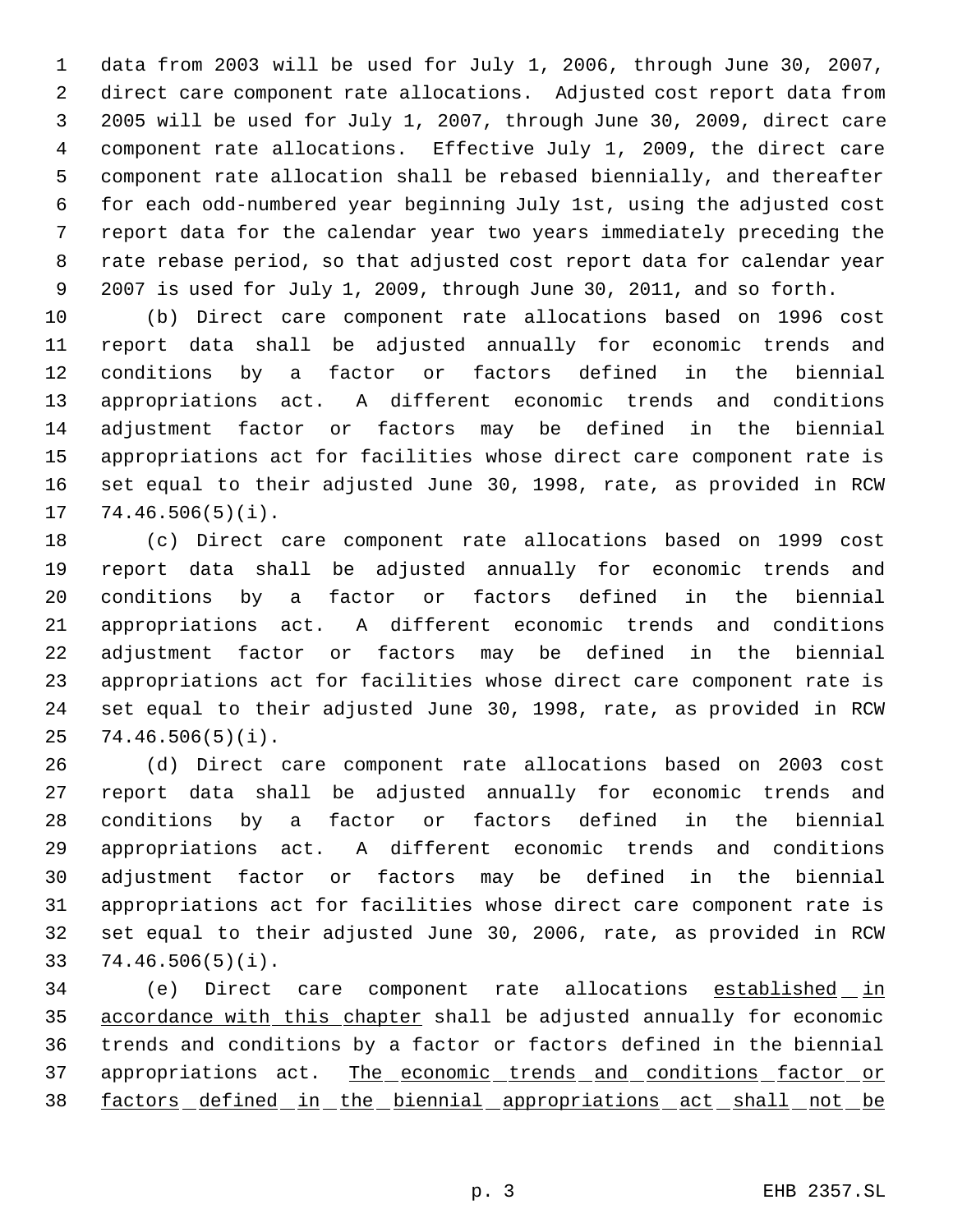data from 2003 will be used for July 1, 2006, through June 30, 2007, direct care component rate allocations. Adjusted cost report data from 2005 will be used for July 1, 2007, through June 30, 2009, direct care component rate allocations. Effective July 1, 2009, the direct care component rate allocation shall be rebased biennially, and thereafter for each odd-numbered year beginning July 1st, using the adjusted cost report data for the calendar year two years immediately preceding the rate rebase period, so that adjusted cost report data for calendar year 2007 is used for July 1, 2009, through June 30, 2011, and so forth.

 (b) Direct care component rate allocations based on 1996 cost report data shall be adjusted annually for economic trends and conditions by a factor or factors defined in the biennial appropriations act. A different economic trends and conditions adjustment factor or factors may be defined in the biennial appropriations act for facilities whose direct care component rate is set equal to their adjusted June 30, 1998, rate, as provided in RCW 74.46.506(5)(i).

 (c) Direct care component rate allocations based on 1999 cost report data shall be adjusted annually for economic trends and conditions by a factor or factors defined in the biennial appropriations act. A different economic trends and conditions adjustment factor or factors may be defined in the biennial appropriations act for facilities whose direct care component rate is set equal to their adjusted June 30, 1998, rate, as provided in RCW 74.46.506(5)(i).

 (d) Direct care component rate allocations based on 2003 cost report data shall be adjusted annually for economic trends and conditions by a factor or factors defined in the biennial appropriations act. A different economic trends and conditions adjustment factor or factors may be defined in the biennial appropriations act for facilities whose direct care component rate is set equal to their adjusted June 30, 2006, rate, as provided in RCW 74.46.506(5)(i).

34 (e) Direct care component rate allocations established in 35 accordance with this chapter shall be adjusted annually for economic trends and conditions by a factor or factors defined in the biennial 37 appropriations act. The economic trends and conditions factor or factors defined in the biennial appropriations act shall not be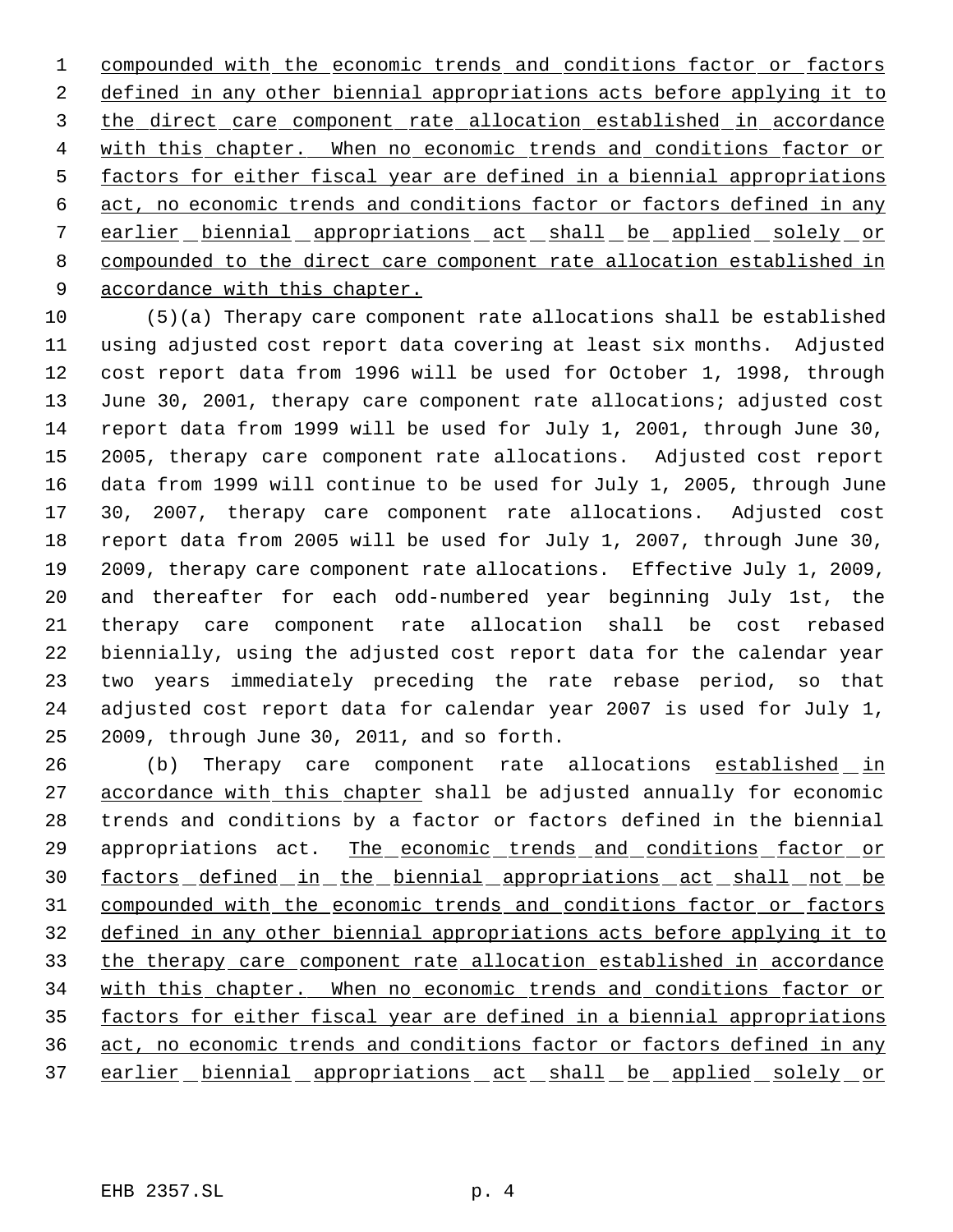1 compounded with the economic trends and conditions factor or factors 2 defined in any other biennial appropriations acts before applying it to the direct care component rate allocation established in accordance 4 with this chapter. When no economic trends and conditions factor or 5 factors for either fiscal year are defined in a biennial appropriations act, no economic trends and conditions factor or factors defined in any 7 earlier biennial appropriations act shall be applied solely or compounded to the direct care component rate allocation established in accordance with this chapter.

 (5)(a) Therapy care component rate allocations shall be established using adjusted cost report data covering at least six months. Adjusted cost report data from 1996 will be used for October 1, 1998, through June 30, 2001, therapy care component rate allocations; adjusted cost report data from 1999 will be used for July 1, 2001, through June 30, 2005, therapy care component rate allocations. Adjusted cost report data from 1999 will continue to be used for July 1, 2005, through June 30, 2007, therapy care component rate allocations. Adjusted cost report data from 2005 will be used for July 1, 2007, through June 30, 2009, therapy care component rate allocations. Effective July 1, 2009, and thereafter for each odd-numbered year beginning July 1st, the therapy care component rate allocation shall be cost rebased biennially, using the adjusted cost report data for the calendar year two years immediately preceding the rate rebase period, so that adjusted cost report data for calendar year 2007 is used for July 1, 2009, through June 30, 2011, and so forth.

26 (b) Therapy care component rate allocations established in 27 accordance with this chapter shall be adjusted annually for economic trends and conditions by a factor or factors defined in the biennial 29 appropriations act. The economic trends and conditions factor or factors defined in the biennial appropriations act shall not be 31 compounded with the economic trends and conditions factor or factors defined in any other biennial appropriations acts before applying it to the therapy care component rate allocation established in accordance with this chapter. When no economic trends and conditions factor or factors for either fiscal year are defined in a biennial appropriations act, no economic trends and conditions factor or factors defined in any 37 earlier biennial appropriations act shall be applied solely or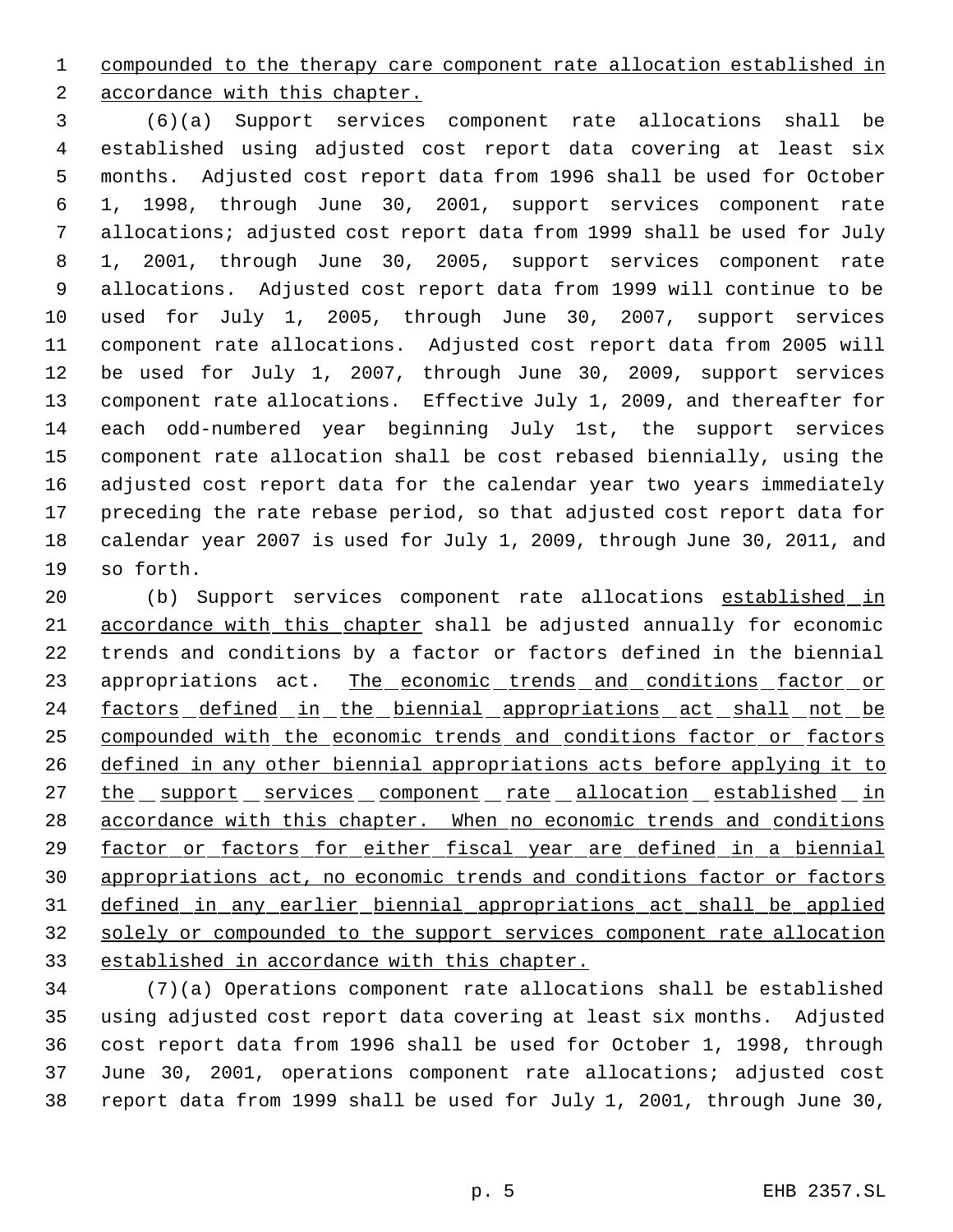compounded to the therapy care component rate allocation established in

accordance with this chapter.

 (6)(a) Support services component rate allocations shall be established using adjusted cost report data covering at least six months. Adjusted cost report data from 1996 shall be used for October 1, 1998, through June 30, 2001, support services component rate allocations; adjusted cost report data from 1999 shall be used for July 1, 2001, through June 30, 2005, support services component rate allocations. Adjusted cost report data from 1999 will continue to be used for July 1, 2005, through June 30, 2007, support services component rate allocations. Adjusted cost report data from 2005 will be used for July 1, 2007, through June 30, 2009, support services component rate allocations. Effective July 1, 2009, and thereafter for each odd-numbered year beginning July 1st, the support services component rate allocation shall be cost rebased biennially, using the adjusted cost report data for the calendar year two years immediately preceding the rate rebase period, so that adjusted cost report data for calendar year 2007 is used for July 1, 2009, through June 30, 2011, and so forth.

20 (b) Support services component rate allocations established in accordance with this chapter shall be adjusted annually for economic trends and conditions by a factor or factors defined in the biennial 23 appropriations act. The economic trends and conditions factor or 24 factors defined in the biennial appropriations act shall not be compounded with the economic trends and conditions factor or factors defined in any other biennial appropriations acts before applying it to 27 the support services component rate allocation established in accordance with this chapter. When no economic trends and conditions factor or factors for either fiscal year are defined in a biennial appropriations act, no economic trends and conditions factor or factors defined in any earlier biennial appropriations act shall be applied solely or compounded to the support services component rate allocation established in accordance with this chapter.

 (7)(a) Operations component rate allocations shall be established using adjusted cost report data covering at least six months. Adjusted cost report data from 1996 shall be used for October 1, 1998, through June 30, 2001, operations component rate allocations; adjusted cost report data from 1999 shall be used for July 1, 2001, through June 30,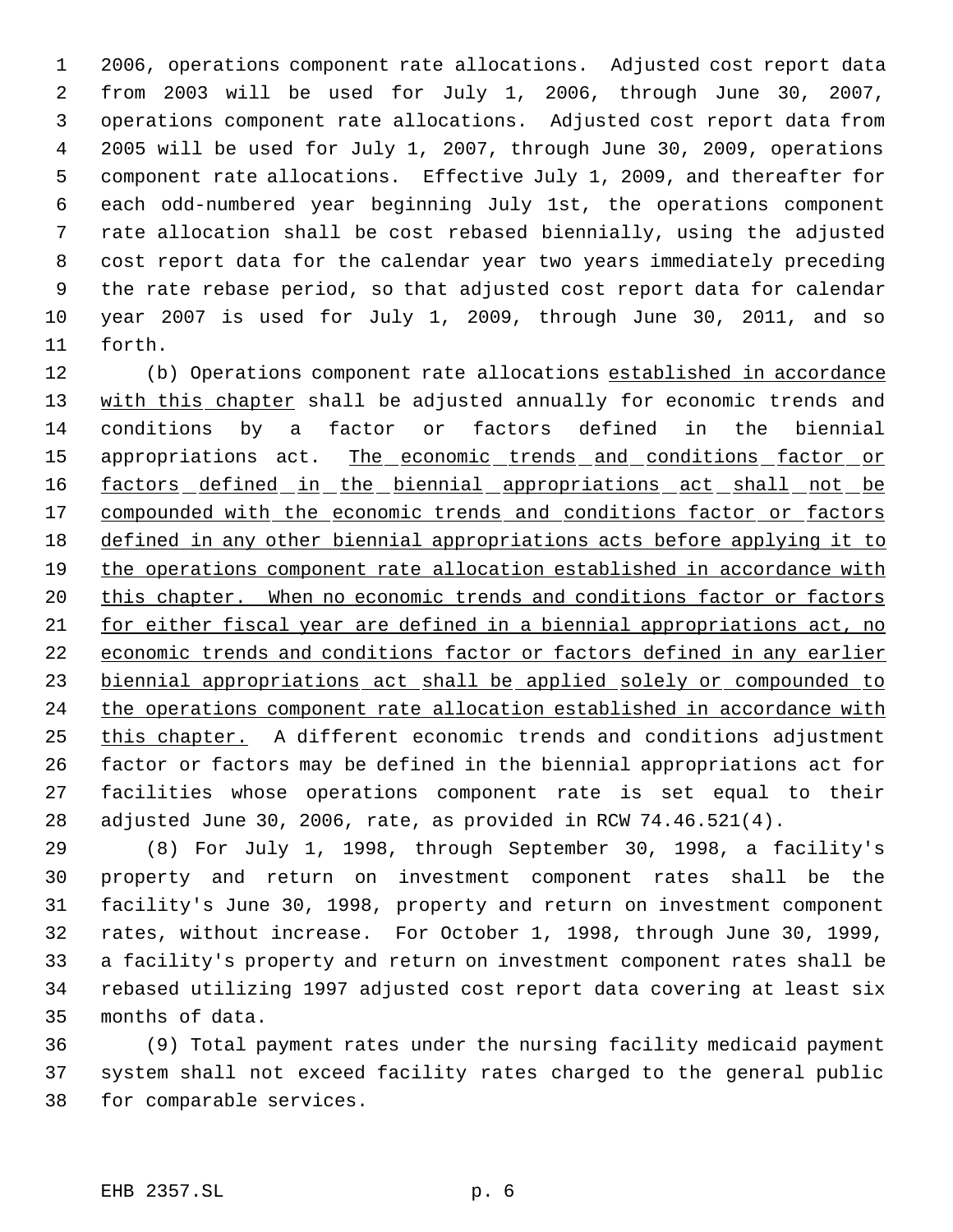2006, operations component rate allocations. Adjusted cost report data from 2003 will be used for July 1, 2006, through June 30, 2007, operations component rate allocations. Adjusted cost report data from 2005 will be used for July 1, 2007, through June 30, 2009, operations component rate allocations. Effective July 1, 2009, and thereafter for each odd-numbered year beginning July 1st, the operations component rate allocation shall be cost rebased biennially, using the adjusted cost report data for the calendar year two years immediately preceding the rate rebase period, so that adjusted cost report data for calendar year 2007 is used for July 1, 2009, through June 30, 2011, and so forth.

12 (b) Operations component rate allocations established in accordance 13 with this chapter shall be adjusted annually for economic trends and conditions by a factor or factors defined in the biennial 15 appropriations act. The economic trends and conditions factor or 16 factors defined in the biennial appropriations act shall not be 17 compounded with the economic trends and conditions factor or factors defined in any other biennial appropriations acts before applying it to 19 the operations component rate allocation established in accordance with 20 this chapter. When no economic trends and conditions factor or factors for either fiscal year are defined in a biennial appropriations act, no economic trends and conditions factor or factors defined in any earlier biennial appropriations act shall be applied solely or compounded to 24 the operations component rate allocation established in accordance with this chapter. A different economic trends and conditions adjustment factor or factors may be defined in the biennial appropriations act for facilities whose operations component rate is set equal to their adjusted June 30, 2006, rate, as provided in RCW 74.46.521(4).

 (8) For July 1, 1998, through September 30, 1998, a facility's property and return on investment component rates shall be the facility's June 30, 1998, property and return on investment component rates, without increase. For October 1, 1998, through June 30, 1999, a facility's property and return on investment component rates shall be rebased utilizing 1997 adjusted cost report data covering at least six months of data.

 (9) Total payment rates under the nursing facility medicaid payment system shall not exceed facility rates charged to the general public for comparable services.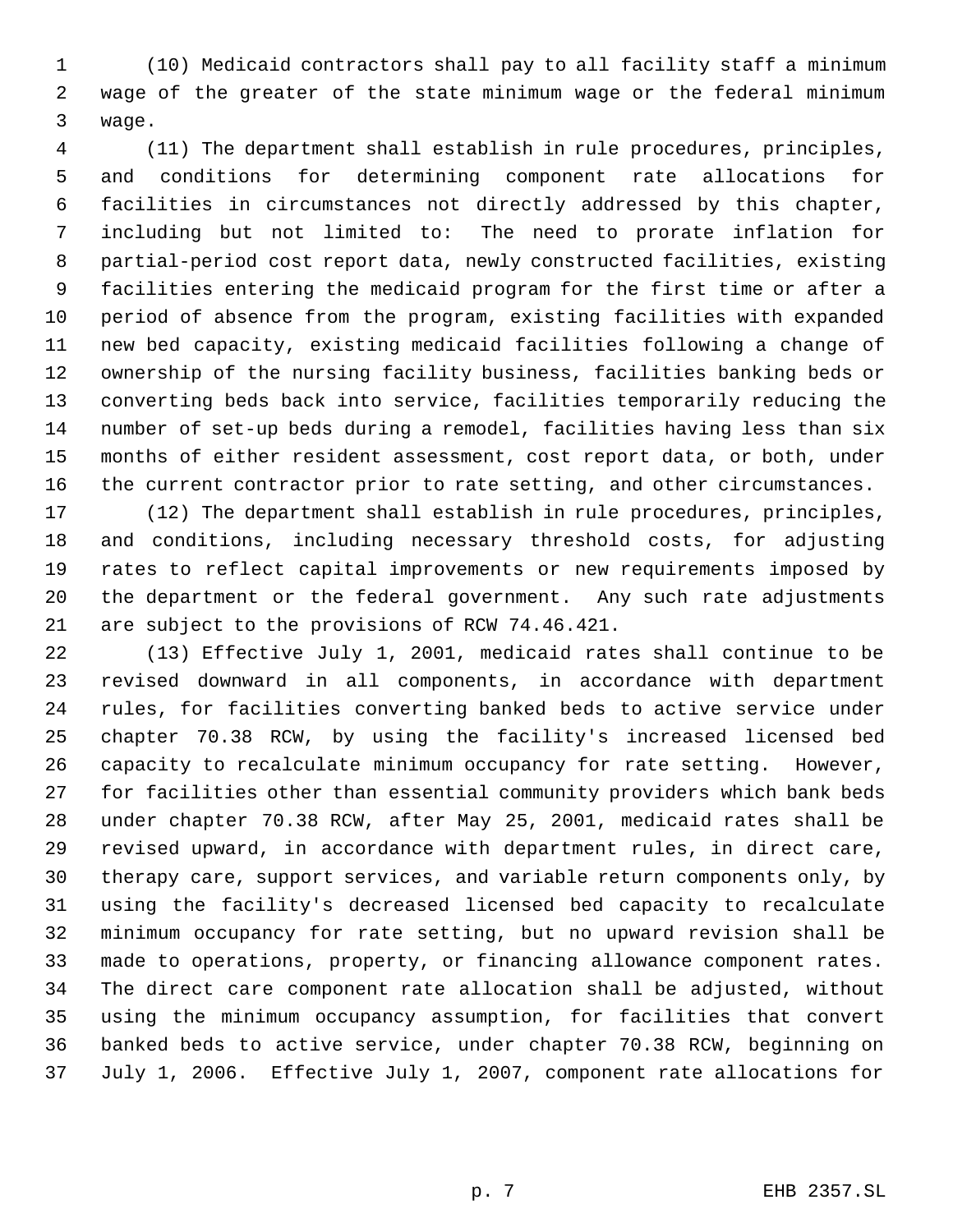(10) Medicaid contractors shall pay to all facility staff a minimum wage of the greater of the state minimum wage or the federal minimum wage.

 (11) The department shall establish in rule procedures, principles, and conditions for determining component rate allocations for facilities in circumstances not directly addressed by this chapter, including but not limited to: The need to prorate inflation for partial-period cost report data, newly constructed facilities, existing facilities entering the medicaid program for the first time or after a period of absence from the program, existing facilities with expanded new bed capacity, existing medicaid facilities following a change of ownership of the nursing facility business, facilities banking beds or converting beds back into service, facilities temporarily reducing the number of set-up beds during a remodel, facilities having less than six months of either resident assessment, cost report data, or both, under the current contractor prior to rate setting, and other circumstances.

 (12) The department shall establish in rule procedures, principles, and conditions, including necessary threshold costs, for adjusting rates to reflect capital improvements or new requirements imposed by the department or the federal government. Any such rate adjustments are subject to the provisions of RCW 74.46.421.

 (13) Effective July 1, 2001, medicaid rates shall continue to be revised downward in all components, in accordance with department rules, for facilities converting banked beds to active service under chapter 70.38 RCW, by using the facility's increased licensed bed capacity to recalculate minimum occupancy for rate setting. However, for facilities other than essential community providers which bank beds under chapter 70.38 RCW, after May 25, 2001, medicaid rates shall be revised upward, in accordance with department rules, in direct care, therapy care, support services, and variable return components only, by using the facility's decreased licensed bed capacity to recalculate minimum occupancy for rate setting, but no upward revision shall be made to operations, property, or financing allowance component rates. The direct care component rate allocation shall be adjusted, without using the minimum occupancy assumption, for facilities that convert banked beds to active service, under chapter 70.38 RCW, beginning on July 1, 2006. Effective July 1, 2007, component rate allocations for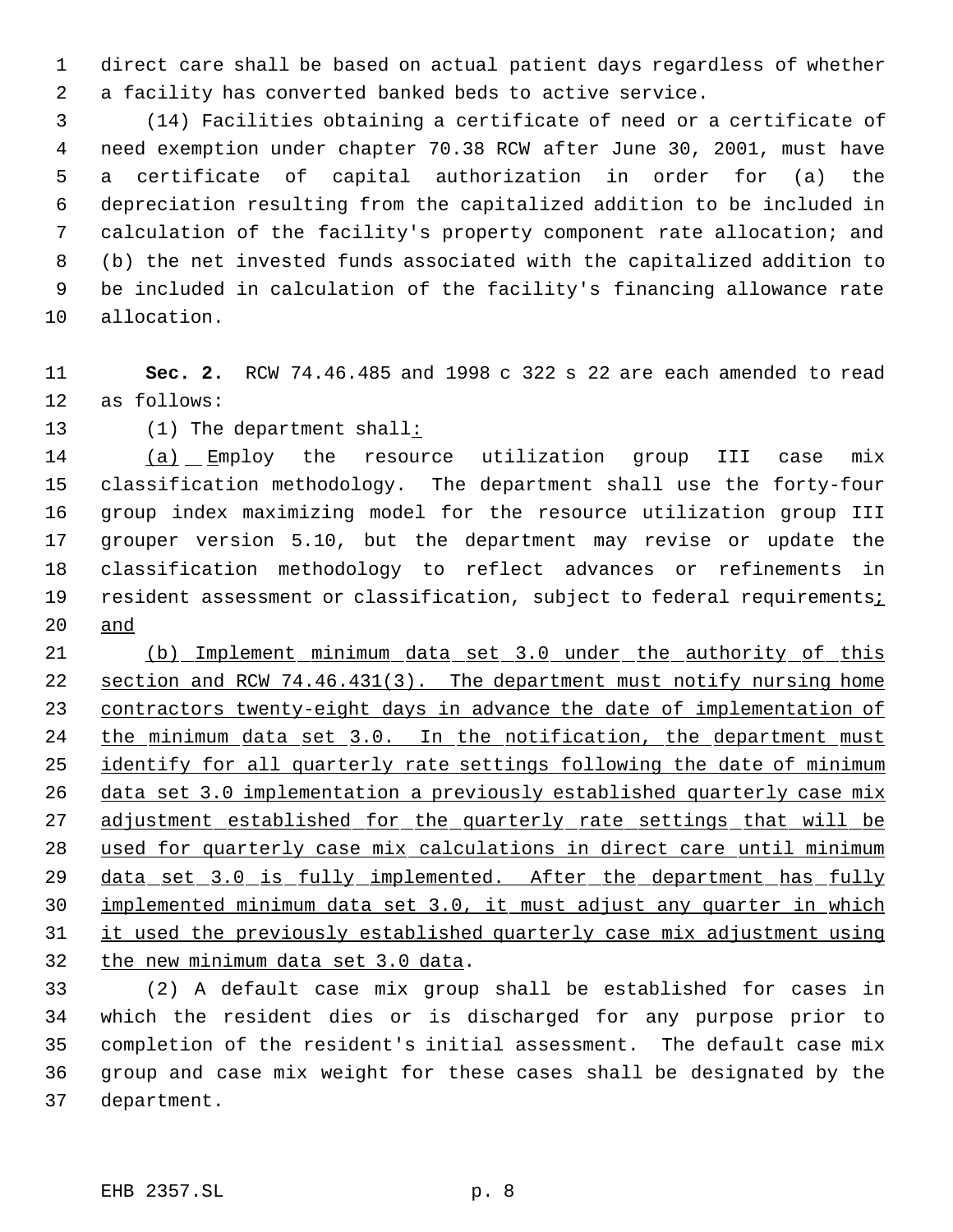direct care shall be based on actual patient days regardless of whether a facility has converted banked beds to active service.

 (14) Facilities obtaining a certificate of need or a certificate of need exemption under chapter 70.38 RCW after June 30, 2001, must have a certificate of capital authorization in order for (a) the depreciation resulting from the capitalized addition to be included in calculation of the facility's property component rate allocation; and (b) the net invested funds associated with the capitalized addition to be included in calculation of the facility's financing allowance rate allocation.

 **Sec. 2.** RCW 74.46.485 and 1998 c 322 s 22 are each amended to read as follows:

(1) The department shall:

14 (a) Employ the resource utilization group III case mix classification methodology. The department shall use the forty-four group index maximizing model for the resource utilization group III grouper version 5.10, but the department may revise or update the classification methodology to reflect advances or refinements in 19 resident assessment or classification, subject to federal requirementsi and

 (b) Implement minimum data set 3.0 under the authority of this 22 section and RCW 74.46.431(3). The department must notify nursing home 23 contractors twenty-eight days in advance the date of implementation of the minimum data set 3.0. In the notification, the department must 25 identify for all quarterly rate settings following the date of minimum data set 3.0 implementation a previously established quarterly case mix 27 adjustment established for the quarterly rate settings that will be used for quarterly case mix calculations in direct care until minimum 29 data set 3.0 is fully implemented. After the department has fully implemented minimum data set 3.0, it must adjust any quarter in which it used the previously established quarterly case mix adjustment using the new minimum data set 3.0 data.

 (2) A default case mix group shall be established for cases in which the resident dies or is discharged for any purpose prior to completion of the resident's initial assessment. The default case mix group and case mix weight for these cases shall be designated by the department.